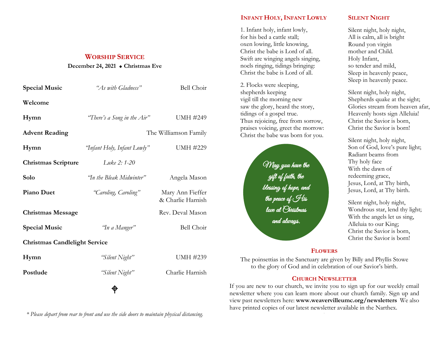#### **WORSHIP SERVICE**

#### **December 24, 2021 Christmas Eve**

| <b>Special Music</b>                 | "As with Gladness"          | Bell Choir                            |
|--------------------------------------|-----------------------------|---------------------------------------|
| Welcome                              |                             |                                       |
| Hymn                                 | "There's a Song in the Air" | <b>UMH #249</b>                       |
| <b>Advent Reading</b>                | The Williamson Family       |                                       |
| Hymn                                 | "Infant Holy, Infant Lowly" | <b>UMH #229</b>                       |
| <b>Christmas Scripture</b>           | Luke 2: 1-20                |                                       |
| Solo                                 | 'In the Bleak Midwinter"    | Angela Mason                          |
| <b>Piano Duet</b>                    | "Caroling, Caroling"        | Mary Ann Fieffer<br>& Charlie Harnish |
| <b>Christmas Message</b>             |                             | Rev. Deval Mason                      |
| <b>Special Music</b>                 | 'In a Manger"               | <b>Bell Choir</b>                     |
| <b>Christmas Candlelight Service</b> |                             |                                       |
| Hymn                                 | "Silent Night"              | UMH #239                              |
| Postlude                             | "Silent Night"              | Charlie Harnish                       |
| ⊕                                    |                             |                                       |

*\* Please depart from rear to front and use the side doors to maintain physical distancing.*

# **INFANT HOLY, INFANT LOWLY**

1. Infant holy, infant lowly, for his bed a cattle stall; oxen lowing, little knowing, Christ the babe is Lord of all. Swift are winging angels singing, noels ringing, tidings bringing: Christ the babe is Lord of all.

2. Flocks were sleeping, shepherds keeping vigil till the morning new saw the glory, heard the story, tidings of a gospel true. Thus rejoicing, free from sorrow, praises voicing, greet the morrow: Christ the babe was born for you.



### **SILENT NIGHT**

Silent night, holy night, All is calm, all is bright Round yon virgin mother and Child. Holy Infant, so tender and mild, Sleep in heavenly peace, Sleep in heavenly peace.

Silent night, holy night, Shepherds quake at the sight; Glories stream from heaven afar, Heavenly hosts sign Alleluia! Christ the Savior is born, Christ the Savior is born!

Silent night, holy night, Son of God, love's pure light; Radiant beams from Thy holy face With the dawn of redeeming grace, Jesus, Lord, at Thy birth, Jesus, Lord, at Thy birth.

Silent night, holy night, Wondrous star, lend thy light; With the angels let us sing, Alleluia to our King; Christ the Savior is born, Christ the Savior is born!

## **FLOWERS**

The poinsettias in the Sanctuary are given by Billy and Phyllis Stowe to the glory of God and in celebration of our Savior's birth.

## **CHURCH NEWSLETTER**

If you are new to our church, we invite you to sign up for our weekly email newsletter where you can learn more about our church family. Sign up and view past newsletters here: **www.weavervilleumc.org/newsletters** We also have printed copies of our latest newsletter available in the Narthex. .